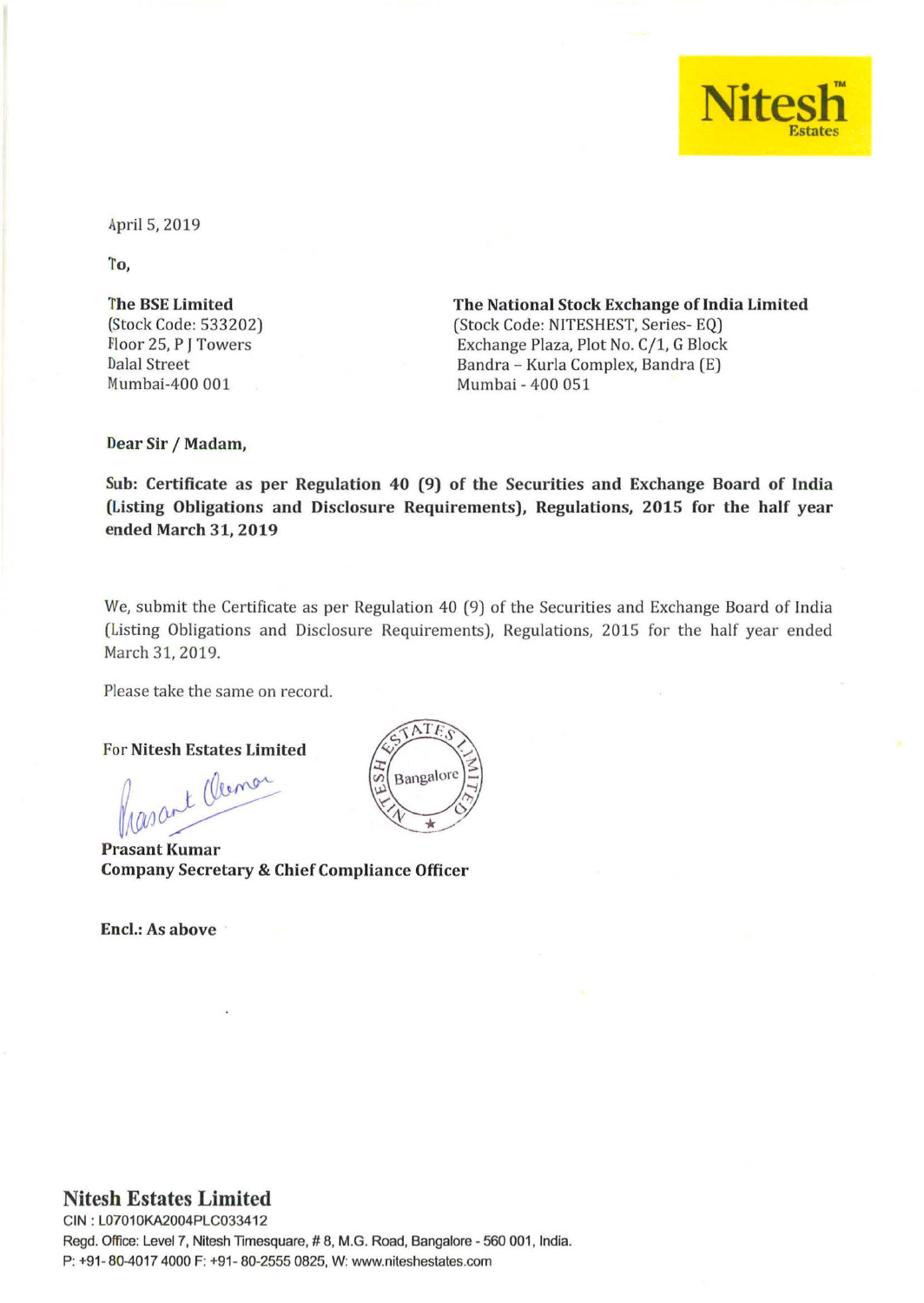

April 5,2019

1'0,

1'he BSE Limited (Stock Code: 533202) Floor 25, P J Towers Dalal Street Mumbai-400 001

The National Stock Exchange of India Limited (Stock Code: NITESHEST, Series- EQ) Exchange Plaza, Plot No. C/1, G Block Bandra - Kurla Complex, Bandra (E) Mumbai - 400 051

Dear Sir / Madam,

Sub: Certificate as per Regulation 40 (9) of the Securities and Exchange Board of India (Listing Obligations and Disclosure Requirements), Regulations, 2015 for the half year ended March 31, 2019

We, submit the Certificate as per Regulation 40 (9) of the Securities and Exchange Board of India (Listing Obligations and Disclosure Requirements), Regulations, 2015 for the half year ended March 31, 2019.

Please take the same on record.

For Nitesh Estates Limited<br>Masant Clemon

Prasant Kumar Company Secretary & Chief Compliance Officer

Encl.: As above